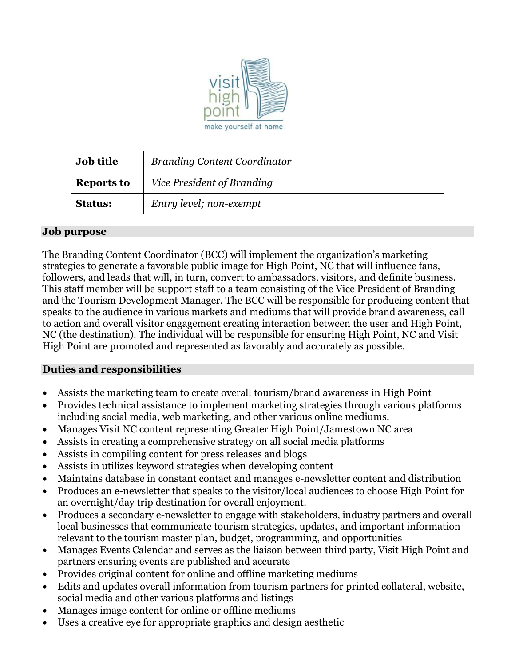

| Job title         | <b>Branding Content Coordinator</b> |
|-------------------|-------------------------------------|
| <b>Reports to</b> | Vice President of Branding          |
| <b>Status:</b>    | Entry level; non-exempt             |

## **Job purpose**

The Branding Content Coordinator (BCC) will implement the organization's marketing strategies to generate a favorable public image for High Point, NC that will influence fans, followers, and leads that will, in turn, convert to ambassadors, visitors, and definite business. This staff member will be support staff to a team consisting of the Vice President of Branding and the Tourism Development Manager. The BCC will be responsible for producing content that speaks to the audience in various markets and mediums that will provide brand awareness, call to action and overall visitor engagement creating interaction between the user and High Point, NC (the destination). The individual will be responsible for ensuring High Point, NC and Visit High Point are promoted and represented as favorably and accurately as possible.

## **Duties and responsibilities**

- Assists the marketing team to create overall tourism/brand awareness in High Point
- Provides technical assistance to implement marketing strategies through various platforms including social media, web marketing, and other various online mediums.
- Manages Visit NC content representing Greater High Point/Jamestown NC area
- Assists in creating a comprehensive strategy on all social media platforms
- Assists in compiling content for press releases and blogs
- Assists in utilizes keyword strategies when developing content
- Maintains database in constant contact and manages e-newsletter content and distribution
- Produces an e-newsletter that speaks to the visitor/local audiences to choose High Point for an overnight/day trip destination for overall enjoyment.
- Produces a secondary e-newsletter to engage with stakeholders, industry partners and overall local businesses that communicate tourism strategies, updates, and important information relevant to the tourism master plan, budget, programming, and opportunities
- Manages Events Calendar and serves as the liaison between third party, Visit High Point and partners ensuring events are published and accurate
- Provides original content for online and offline marketing mediums
- Edits and updates overall information from tourism partners for printed collateral, website, social media and other various platforms and listings
- Manages image content for online or offline mediums
- Uses a creative eye for appropriate graphics and design aesthetic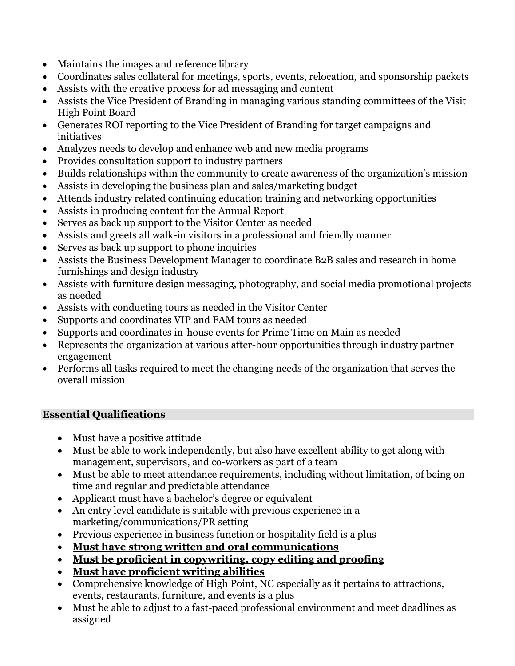- Maintains the images and reference library
- Coordinates sales collateral for meetings, sports, events, relocation, and sponsorship packets
- Assists with the creative process for ad messaging and content
- Assists the Vice President of Branding in managing various standing committees of the Visit High Point Board
- Generates ROI reporting to the Vice President of Branding for target campaigns and initiatives
- Analyzes needs to develop and enhance web and new media programs
- Provides consultation support to industry partners
- Builds relationships within the community to create awareness of the organization's mission
- Assists in developing the business plan and sales/marketing budget
- Attends industry related continuing education training and networking opportunities
- Assists in producing content for the Annual Report
- Serves as back up support to the Visitor Center as needed
- Assists and greets all walk-in visitors in a professional and friendly manner
- Serves as back up support to phone inquiries
- Assists the Business Development Manager to coordinate B2B sales and research in home furnishings and design industry
- Assists with furniture design messaging, photography, and social media promotional projects as needed
- Assists with conducting tours as needed in the Visitor Center
- Supports and coordinates VIP and FAM tours as needed
- Supports and coordinates in-house events for Prime Time on Main as needed
- Represents the organization at various after-hour opportunities through industry partner engagement
- Performs all tasks required to meet the changing needs of the organization that serves the overall mission

# **Essential Qualifications**

- Must have a positive attitude
- Must be able to work independently, but also have excellent ability to get along with management, supervisors, and co-workers as part of a team
- Must be able to meet attendance requirements, including without limitation, of being on time and regular and predictable attendance
- Applicant must have a bachelor's degree or equivalent
- An entry level candidate is suitable with previous experience in a marketing/communications/PR setting
- Previous experience in business function or hospitality field is a plus
- **Must have strong written and oral communications**
- **Must be proficient in copywriting, copy editing and proofing**
- **Must have proficient writing abilities**
- Comprehensive knowledge of High Point, NC especially as it pertains to attractions, events, restaurants, furniture, and events is a plus
- Must be able to adjust to a fast-paced professional environment and meet deadlines as assigned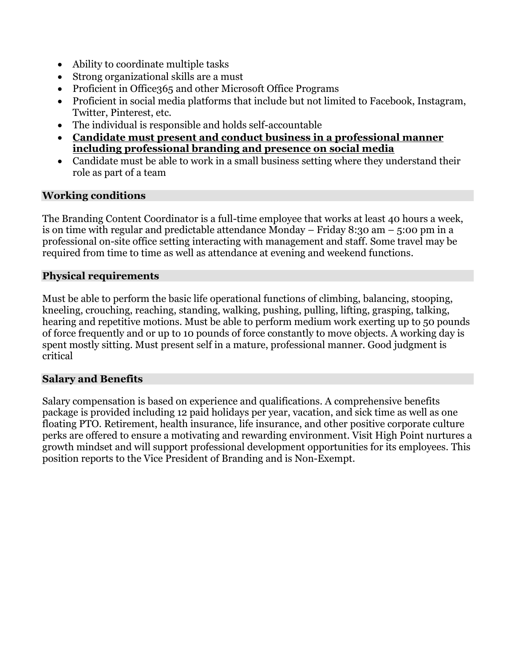- Ability to coordinate multiple tasks
- Strong organizational skills are a must
- Proficient in Office365 and other Microsoft Office Programs
- Proficient in social media platforms that include but not limited to Facebook, Instagram, Twitter, Pinterest, etc.
- The individual is responsible and holds self-accountable
- **Candidate must present and conduct business in a professional manner including professional branding and presence on social media**
- Candidate must be able to work in a small business setting where they understand their role as part of a team

## **Working conditions**

The Branding Content Coordinator is a full-time employee that works at least 40 hours a week, is on time with regular and predictable attendance Monday – Friday 8:30 am – 5:00 pm in a professional on-site office setting interacting with management and staff. Some travel may be required from time to time as well as attendance at evening and weekend functions.

#### **Physical requirements**

Must be able to perform the basic life operational functions of climbing, balancing, stooping, kneeling, crouching, reaching, standing, walking, pushing, pulling, lifting, grasping, talking, hearing and repetitive motions. Must be able to perform medium work exerting up to 50 pounds of force frequently and or up to 10 pounds of force constantly to move objects. A working day is spent mostly sitting. Must present self in a mature, professional manner. Good judgment is critical

## **Salary and Benefits**

Salary compensation is based on experience and qualifications. A comprehensive benefits package is provided including 12 paid holidays per year, vacation, and sick time as well as one floating PTO. Retirement, health insurance, life insurance, and other positive corporate culture perks are offered to ensure a motivating and rewarding environment. Visit High Point nurtures a growth mindset and will support professional development opportunities for its employees. This position reports to the Vice President of Branding and is Non-Exempt.